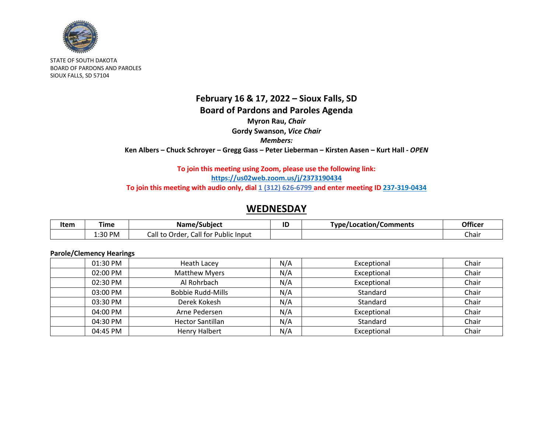

STATE OF SOUTH DAKOTA BOARD OF PARDONS AND PAROLES SIOUX FALLS, SD 57104

## **February 16 & 17, 2022 – Sioux Falls, SD Board of Pardons and Paroles Agenda Myron Rau,** *Chair* **Gordy Swanson,** *Vice Chair Members:* **Ken Albers – Chuck Schroyer – Gregg Gass – Peter Lieberman – Kirsten Aasen – Kurt Hall -** *OPEN*

### **To join this meeting using Zoom, please use the following link: <https://us02web.zoom.us/j/2373190434> To join this meeting with audio only, dial 1 (312) 626-6799 and enter meeting ID 237-319-0434**

## **WEDNESDAY**

| Item | Time    | Name/Subject                                | IL | Type/Location/Comments | <b>Officer</b> |
|------|---------|---------------------------------------------|----|------------------------|----------------|
|      | L:30 PM | Call for L<br>Public Input<br>Call to Order |    |                        | Chair          |

### **Parole/Clemency Hearings**

| 01:30 PM | Heath Lacey              | N/A | Exceptional | Chair |
|----------|--------------------------|-----|-------------|-------|
| 02:00 PM | <b>Matthew Myers</b>     | N/A | Exceptional | Chair |
| 02:30 PM | Al Rohrbach              | N/A | Exceptional | Chair |
| 03:00 PM | <b>Bobbie Rudd-Mills</b> | N/A | Standard    | Chair |
| 03:30 PM | Derek Kokesh             | N/A | Standard    | Chair |
| 04:00 PM | Arne Pedersen            | N/A | Exceptional | Chair |
| 04:30 PM | <b>Hector Santillan</b>  | N/A | Standard    | Chair |
| 04:45 PM | <b>Henry Halbert</b>     | N/A | Exceptional | Chair |